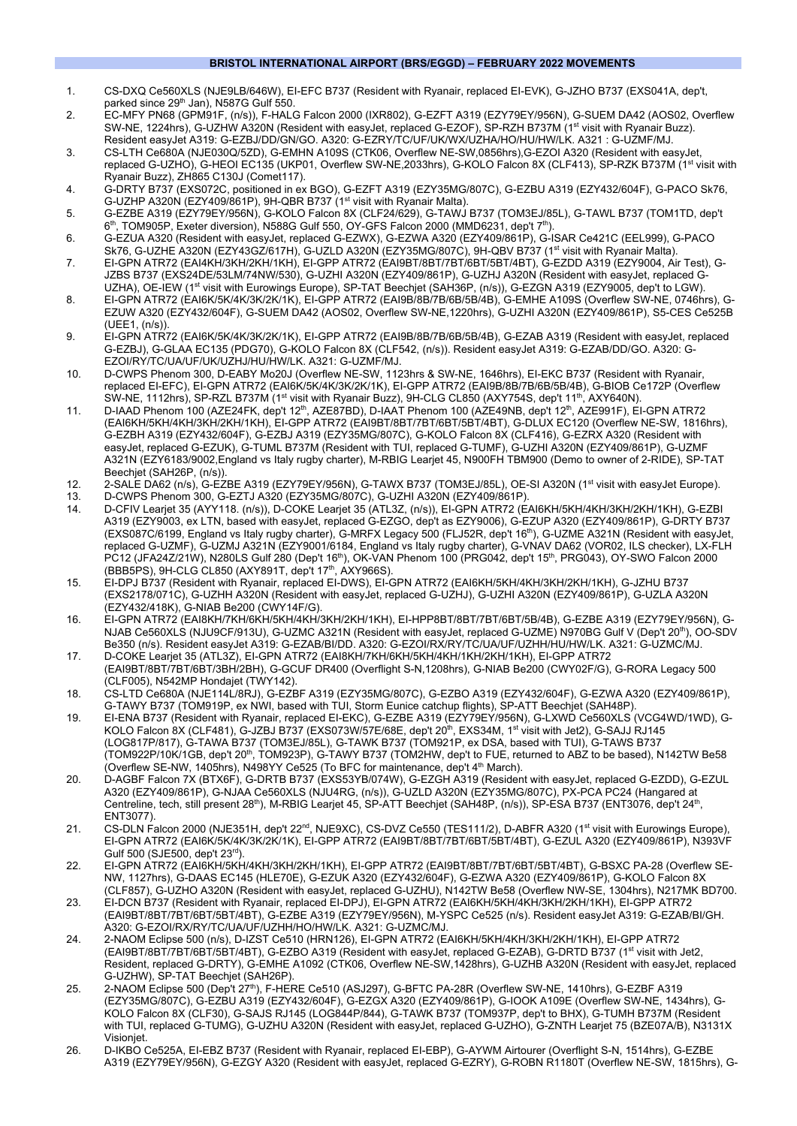## **BRISTOL INTERNATIONAL AIRPORT (BRS/EGGD) – FEBRUARY 2022 MOVEMENTS**

- 1. CS-DXQ Ce560XLS (NJE9LB/646W), EI-EFC B737 (Resident with Ryanair, replaced EI-EVK), G-JZHO B737 (EXS041A, dep't, parked since 29<sup>th</sup> Jan), N587G Gulf 550.
- 2. EC-MFY PN68 (GPM91F, (n/s)), F-HALG Falcon 2000 (IXR802), G-EZFT A319 (EZY79EY/956N), G-SUEM DA42 (AOS02, Overflew SW-NE, 1224hrs), G-UZHW A320N (Resident with easyJet, replaced G-EZOF), SP-RZH B737M (1st visit with Ryanair Buzz). Resident easyJet A319: G-EZBJ/DD/GN/GO. A320: G-EZRY/TC/UF/UK/WX/UZHA/HO/HU/HW/LK. A321 : G-UZMF/MJ.
- 3. CS-LTH Ce680A (NJE030Q/5ZD), G-EMHN A109S (CTK06, Overflew NE-SW,0856hrs),G-EZOI A320 (Resident with easyJet, replaced G-UZHO), G-HEOI EC135 (UKP01, Overflew SW-NE,2033hrs), G-KOLO Falcon 8X (CLF413), SP-RZK B737M (1<sup>st</sup> visit with Ryanair Buzz), ZH865 C130J (Comet117).
- 4. G-DRTY B737 (EXS072C, positioned in ex BGO), G-EZFT A319 (EZY35MG/807C), G-EZBU A319 (EZY432/604F), G-PACO Sk76, G-UZHP A320N (EZY409/861P), 9H-QBR B737 (1<sup>st</sup> visit with Ryanair Malta).
- 5. G-EZBE A319 (EZY79EY/956N), G-KOLO Falcon 8X (CLF24/629), G-TAWJ B737 (TOM3EJ/85L), G-TAWL B737 (TOM1TD, dep't 6<sup>th</sup>, TOM905P, Exeter diversion), N588G Gulf 550, OY-GFS Falcon 2000 (MMD6231, dep't 7<sup>th</sup>).
- 6. G-EZUA A320 (Resident with easyJet, replaced G-EZWX), G-EZWA A320 (EZY409/861P), G-ISAR Ce421C (EEL999), G-PACO Sk76, G-UZHE A320N (EZY43GZ/617H), G-UZLD A320N (EZY35MG/807C), 9H-QBV B737 (1<sup>st</sup> visit with Ryanair Malta).
- 7. EI-GPN ATR72 (EAI4KH/3KH/2KH/1KH), EI-GPP ATR72 (EAI9BT/8BT/7BT/6BT/5BT/4BT), G-EZDD A319 (EZY9004, Air Test), G-JZBS B737 (EXS24DE/53LM/74NW/530), G-UZHI A320N (EZY409/861P), G-UZHJ A320N (Resident with easyJet, replaced G-UZHA), OE-IEW (1<sup>st</sup> visit with Eurowings Europe), SP-TAT Beechjet (SAH36P, (n/s)), G-EZGN A319 (EZY9005, dep't to LGW).
- 8. EI-GPN ATR72 (EAI6K/5K/4K/3K/2K/1K), EI-GPP ATR72 (EAI9B/8B/7B/6B/5B/4B), G-EMHE A109S (Overflew SW-NE, 0746hrs), G-EZUW A320 (EZY432/604F), G-SUEM DA42 (AOS02, Overflew SW-NE,1220hrs), G-UZHI A320N (EZY409/861P), S5-CES Ce525B (UEE1, (n/s)).
- 9. EI-GPN ATR72 (EAI6K/5K/4K/3K/2K/1K), EI-GPP ATR72 (EAI9B/8B/7B/6B/5B/4B), G-EZAB A319 (Resident with easyJet, replaced G-EZBJ), G-GLAA EC135 (PDG70), G-KOLO Falcon 8X (CLF542, (n/s)). Resident easyJet A319: G-EZAB/DD/GO. A320: G-EZOI/RY/TC/UA/UF/UK/UZHJ/HU/HW/LK. A321: G-UZMF/MJ.
- 10. D-CWPS Phenom 300, D-EABY Mo20J (Overflew NE-SW, 1123hrs & SW-NE, 1646hrs), EI-EKC B737 (Resident with Ryanair, replaced EI-EFC), EI-GPN ATR72 (EAI6K/5K/4K/3K/2K/1K), EI-GPP ATR72 (EAI9B/8B/7B/6B/5B/4B), G-BIOB Ce172P (Overflew SW-NE, 1112hrs), SP-RZL B737M (1<sup>st</sup> visit with Ryanair Buzz), 9H-CLG CL850 (AXY754S, dep't 11<sup>th</sup>, AXY640N).
- 11. D-IAAD Phenom 100 (AZE24FK, dep't 12<sup>th</sup>, AZE87BD), D-IAAT Phenom 100 (AZE49NB, dep't 12<sup>th</sup>, AZE991F), EI-GPN ATR72 (EAI6KH/5KH/4KH/3KH/2KH/1KH), EI-GPP ATR72 (EAI9BT/8BT/7BT/6BT/5BT/4BT), G-DLUX EC120 (Overflew NE-SW, 1816hrs), G-EZBH A319 (EZY432/604F), G-EZBJ A319 (EZY35MG/807C), G-KOLO Falcon 8X (CLF416), G-EZRX A320 (Resident with easyJet, replaced G-EZUK), G-TUML B737M (Resident with TUI, replaced G-TUMF), G-UZHI A320N (EZY409/861P), G-UZMF A321N (EZY6183/9002,England vs Italy rugby charter), M-RBIG Learjet 45, N900FH TBM900 (Demo to owner of 2-RIDE), SP-TAT Beechjet (SAH26P, (n/s)).
- 12. 2-SALE DA62 (n/s), G-EZBE A319 (EZY79EY/956N), G-TAWX B737 (TOM3EJ/85L), OE-SI A320N (1st visit with easyJet Europe).
- 13. D-CWPS Phenom 300, G-EZTJ A320 (EZY35MG/807C), G-UZHI A320N (EZY409/861P).
- 14. D-CFIV Learjet 35 (AYY118. (n/s)), D-COKE Learjet 35 (ATL3Z, (n/s)), EI-GPN ATR72 (EAI6KH/5KH/4KH/3KH/2KH/1KH), G-EZBI A319 (EZY9003, ex LTN, based with easyJet, replaced G-EZGO, dep't as EZY9006), G-EZUP A320 (EZY409/861P), G-DRTY B737 (EXS087C/6199, England vs Italy rugby charter), G-MRFX Legacy 500 (FLJ52R, dep't 16th), G-UZME A321N (Resident with easyJet, replaced G-UZMF), G-UZMJ A321N (EZY9001/6184, England vs Italy rugby charter), G-VNAV DA62 (VOR02, ILS checker), LX-FLH PC12 (JFA24Z/21W), N280LS Gulf 280 (Dep't 16th), OK-VAN Phenom 100 (PRG042, dep't 15th, PRG043), OY-SWO Falcon 2000 (BBB5PS), 9H-CLG CL850 (AXY891T, dep't 17th, AXY966S).
- 15. EI-DPJ B737 (Resident with Ryanair, replaced EI-DWS), EI-GPN ATR72 (EAI6KH/5KH/4KH/3KH/2KH/1KH), G-JZHU B737 (EXS2178/071C), G-UZHH A320N (Resident with easyJet, replaced G-UZHJ), G-UZHI A320N (EZY409/861P), G-UZLA A320N (EZY432/418K), G-NIAB Be200 (CWY14F/G).
- 16. EI-GPN ATR72 (EAI8KH/7KH/6KH/5KH/4KH/3KH/2KH/1KH), EI-HPP8BT/8BT/7BT/6BT/5B/4B), G-EZBE A319 (EZY79EY/956N), G-NJAB Ce560XLS (NJU9CF/913U), G-UZMC A321N (Resident with easyJet, replaced G-UZME) N970BG Gulf V (Dep't 20th), OO-SDV Be350 (n/s). Resident easyJet A319: G-EZAB/BI/DD. A320: G-EZOI/RX/RY/TC/UA/UF/UZHH/HU/HW/LK. A321: G-UZMC/MJ.
- 17. D-COKE Learjet 35 (ATL3Z), EI-GPN ATR72 (EAI8KH/7KH/6KH/5KH/4KH/1KH/2KH/1KH), EI-GPP ATR72 (EAI9BT/8BT/7BT/6BT/3BH/2BH), G-GCUF DR400 (Overflight S-N,1208hrs), G-NIAB Be200 (CWY02F/G), G-RORA Legacy 500 (CLF005), N542MP Hondajet (TWY142).
- 18. CS-LTD Ce680A (NJE114L/8RJ), G-EZBF A319 (EZY35MG/807C), G-EZBO A319 (EZY432/604F), G-EZWA A320 (EZY409/861P), G-TAWY B737 (TOM919P, ex NWI, based with TUI, Storm Eunice catchup flights), SP-ATT Beechjet (SAH48P).
- 19. EI-ENA B737 (Resident with Ryanair, replaced EI-EKC), G-EZBE A319 (EZY79EY/956N), G-LXWD Ce560XLS (VCG4WD/1WD), G-KOLO Falcon 8X (CLF481), G-JZBJ B737 (EXS073W/57E/68E, dep't 20<sup>th</sup>, EXS34M, 1<sup>st</sup> visit with Jet2), G-SAJJ RJ145 (LOG817P/817), G-TAWA B737 (TOM3EJ/85L), G-TAWK B737 (TOM921P, ex DSA, based with TUI), G-TAWS B737 (TOM922P/10K/1GB, dep't 20th, TOM923P), G-TAWY B737 (TOM2HW, dep't to FUE, returned to ABZ to be based), N142TW Be58 (Overflew SE-NW, 1405hrs), N498YY Ce525 (To BFC for maintenance, dep't 4th March).
- 20. D-AGBF Falcon 7X (BTX6F), G-DRTB B737 (EXS53YB/074W), G-EZGH A319 (Resident with easyJet, replaced G-EZDD), G-EZUL A320 (EZY409/861P), G-NJAA Ce560XLS (NJU4RG, (n/s)), G-UZLD A320N (EZY35MG/807C), PX-PCA PC24 (Hangared at Centreline, tech, still present 28<sup>th</sup>), M-RBIG Learjet 45, SP-ATT Beechjet (SAH48P, (n/s)), SP-ESA B737 (ENT3076, dep't 24<sup>th</sup>, ENT3077).
- 21. CS-DLN Falcon 2000 (NJE351H, dep't 22<sup>nd</sup>, NJE9XC), CS-DVZ Ce550 (TES111/2), D-ABFR A320 (1<sup>st</sup> visit with Eurowings Europe), EI-GPN ATR72 (EAI6K/5K/4K/3K/2K/1K), EI-GPP ATR72 (EAI9BT/8BT/7BT/6BT/5BT/4BT), G-EZUL A320 (EZY409/861P), N393VF Gulf 500 (SJE500, dep't 23rd).
- 22. EI-GPN ATR72 (EAI6KH/5KH/4KH/3KH/2KH/1KH), EI-GPP ATR72 (EAI9BT/8BT/7BT/6BT/5BT/4BT), G-BSXC PA-28 (Overflew SE-NW, 1127hrs), G-DAAS EC145 (HLE70E), G-EZUK A320 (EZY432/604F), G-EZWA A320 (EZY409/861P), G-KOLO Falcon 8X (CLF857), G-UZHO A320N (Resident with easyJet, replaced G-UZHU), N142TW Be58 (Overflew NW-SE, 1304hrs), N217MK BD700.
- 23. EI-DCN B737 (Resident with Ryanair, replaced EI-DPJ), EI-GPN ATR72 (EAI6KH/5KH/4KH/3KH/2KH/1KH), EI-GPP ATR72 (EAI9BT/8BT/7BT/6BT/5BT/4BT), G-EZBE A319 (EZY79EY/956N), M-YSPC Ce525 (n/s). Resident easyJet A319: G-EZAB/BI/GH. A320: G-EZOI/RX/RY/TC/UA/UF/UZHH/HO/HW/LK. A321: G-UZMC/MJ.
- 24. 2-NAOM Eclipse 500 (n/s), D-IZST Ce510 (HRN126), EI-GPN ATR72 (EAI6KH/5KH/4KH/3KH/2KH/1KH), EI-GPP ATR72 (EAI9BT/8BT/7BT/6BT/5BT/4BT), G-EZBO A319 (Resident with easyJet, replaced G-EZAB), G-DRTD B737 (1st visit with Jet2, Resident, replaced G-DRTY), G-EMHE A1092 (CTK06, Overflew NE-SW,1428hrs), G-UZHB A320N (Resident with easyJet, replaced G-UZHW), SP-TAT Beechjet (SAH26P).
- 25. 2-NAOM Eclipse 500 (Dep't 27th), F-HERE Ce510 (ASJ297), G-BFTC PA-28R (Overflew SW-NE, 1410hrs), G-EZBF A319 (EZY35MG/807C), G-EZBU A319 (EZY432/604F), G-EZGX A320 (EZY409/861P), G-IOOK A109E (Overflew SW-NE, 1434hrs), G-KOLO Falcon 8X (CLF30), G-SAJS RJ145 (LOG844P/844), G-TAWK B737 (TOM937P, dep't to BHX), G-TUMH B737M (Resident with TUI, replaced G-TUMG), G-UZHU A320N (Resident with easyJet, replaced G-UZHO), G-ZNTH Learjet 75 (BZE07A/B), N3131X Visionjet.
- 26. D-IKBO Ce525A, EI-EBZ B737 (Resident with Ryanair, replaced EI-EBP), G-AYWM Airtourer (Overflight S-N, 1514hrs), G-EZBE A319 (EZY79EY/956N), G-EZGY A320 (Resident with easyJet, replaced G-EZRY), G-ROBN R1180T (Overflew NE-SW, 1815hrs), G-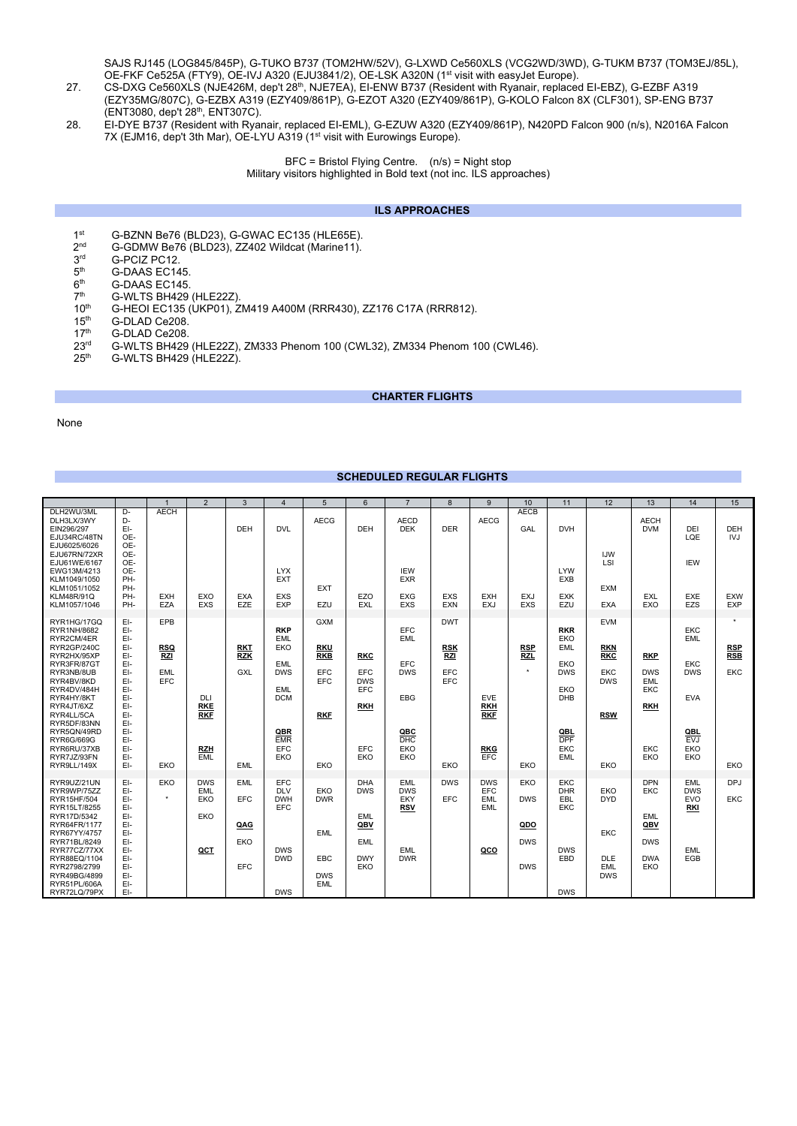SAJS RJ145 (LOG845/845P), G-TUKO B737 (TOM2HW/52V), G-LXWD Ce560XLS (VCG2WD/3WD), G-TUKM B737 (TOM3EJ/85L), OE-FKF Ce525A (FTY9), OE-IVJ A320 (EJU3841/2), OE-LSK A320N (1st visit with easyJet Europe).

- 27. CS-DXG Ce560XLS (NJE426M, dep't 28th, NJE7EA), EI-ENW B737 (Resident with Ryanair, replaced EI-EBZ), G-EZBF A319 (EZY35MG/807C), G-EZBX A319 (EZY409/861P), G-EZOT A320 (EZY409/861P), G-KOLO Falcon 8X (CLF301), SP-ENG B737 (ENT3080, dep't 28th, ENT307C).
- 28. EI-DYE B737 (Resident with Ryanair, replaced EI-EML), G-EZUW A320 (EZY409/861P), N420PD Falcon 900 (n/s), N2016A Falcon 7X (EJM16, dep't 3th Mar), OE-LYU A319 (1st visit with Eurowings Europe).

BFC = Bristol Flying Centre. (n/s) = Night stop Military visitors highlighted in Bold text (not inc. ILS approaches)

## **ILS APPROACHES**

- 1st G-BZNN Be76 (BLD23), G-GWAC EC135 (HLE65E).<br>2<sup>nd</sup> G-GDMW Be76 (BLD23), ZZ402 Wildcat (Marine11).
- $2^{nd}$  G-GDMW Be76 (BLD23), ZZ402 Wildcat (Marine11).<br> $3^{rd}$  G-PCIZ PC12.
- $3<sup>rd</sup>$  G-PCIZ PC12.<br> $5<sup>th</sup>$  G-DAAS FC14
- $5<sup>th</sup>$  G-DAAS EC145.<br> $6<sup>th</sup>$  G-DAAS EC145.
- $6<sup>th</sup>$  G-DAAS EC145.<br> $7<sup>th</sup>$  G-WLTS BH429.
- $7<sup>th</sup>$  G-WLTS BH429 (HLE22Z).<br>10<sup>th</sup> G-HEOI EC135 (UKP01). Z
- 10<sup>th</sup> G-HEOI EC135 (ÙKP01), ZM419 A400M (RRR430), ZZ176 C17A (RRR812).<br>15<sup>th</sup> G-DLAD Ce208.
- 
- 15<sup>th</sup> G-DLAD Ce208.<br>17<sup>th</sup> G-DLAD Ce208. 17<sup>th</sup> G-DLAD Ce208.<br>23<sup>rd</sup> G-WLTS BH429
- $23<sup>rd</sup>$  G-WLTS BH429 (HLE22Z), ZM333 Phenom 100 (CWL32), ZM334 Phenom 100 (CWL46).<br> $25<sup>th</sup>$  G-WLTS BH429 (HLE22Z).
- G-WLTS BH429 (HLE22Z).

### **CHARTER FLIGHTS**

#### None

# **SCHEDULED REGULAR FLIGHTS**

|                                                                             |                                 |                          | $\overline{2}$           | 3                        | $\overline{4}$                  | 5                        | 6                 | $\overline{7}$                  | 8                        | 9                        | 10                       | 11                       | 12                              | 13                        | 14                              | 15                       |
|-----------------------------------------------------------------------------|---------------------------------|--------------------------|--------------------------|--------------------------|---------------------------------|--------------------------|-------------------|---------------------------------|--------------------------|--------------------------|--------------------------|--------------------------|---------------------------------|---------------------------|---------------------------------|--------------------------|
| DLH2WU/3ML<br>DLH3LX/3WY<br>EIN296/297<br>EJU34RC/48TN<br>EJU6025/6026      | D-<br>D-<br>$E$ -<br>OE-<br>OE- | <b>AECH</b>              |                          | DEH                      | <b>DVL</b>                      | <b>AECG</b>              | <b>DEH</b>        | <b>AECD</b><br><b>DEK</b>       | <b>DER</b>               | <b>AECG</b>              | <b>AECB</b><br>GAL       | <b>DVH</b>               |                                 | <b>AECH</b><br><b>DVM</b> | DEI<br>LQE                      | <b>DEH</b><br><b>IVJ</b> |
| EJU67RN/72XR<br>EJU61WE/6167<br>EWG13M/4213<br>KLM1049/1050<br>KLM1051/1052 | OE-<br>OE-<br>OE-<br>PH-<br>PH- |                          |                          |                          | <b>LYX</b><br><b>EXT</b>        | <b>EXT</b>               |                   | <b>IEW</b><br><b>EXR</b>        |                          |                          |                          | <b>LYW</b><br><b>EXB</b> | <b>IJW</b><br>LSI<br><b>EXM</b> |                           | <b>IEW</b>                      |                          |
| <b>KLM48R/91Q</b><br>KLM1057/1046                                           | PH-<br>PH-                      | <b>EXH</b><br>EZA        | EXO<br><b>EXS</b>        | <b>EXA</b><br>EZE        | <b>EXS</b><br><b>EXP</b>        | EZU                      | EZO<br><b>EXL</b> | <b>EXG</b><br><b>EXS</b>        | <b>EXS</b><br><b>EXN</b> | <b>EXH</b><br><b>EXJ</b> | <b>EXJ</b><br><b>EXS</b> | <b>EXK</b><br>EZU        | <b>EXA</b>                      | EXL<br>EXO                | EXE<br>EZS                      | <b>EXW</b><br><b>EXP</b> |
| RYR1HG/17GQ<br>RYR1NH/8682                                                  | EI-<br>EI-                      | EPB                      |                          |                          | <b>RKP</b>                      | <b>GXM</b>               |                   | <b>EFC</b>                      | <b>DWT</b>               |                          |                          | <b>RKR</b>               | <b>EVM</b>                      |                           | <b>EKC</b>                      | $\star$                  |
| RYR2CM/4ER<br>RYR2GP/240C<br>RYR2HX/95XP                                    | EI-<br>EI-<br>EI-               | <b>RSQ</b><br><b>RZI</b> |                          | <b>RKT</b><br><b>RZK</b> | <b>EML</b><br>EKO               | <b>RKU</b><br><b>RKB</b> | <b>RKC</b>        | EML                             | <b>RSK</b><br><b>RZI</b> |                          | <b>RSP</b><br><b>RZL</b> | <b>EKO</b><br><b>EML</b> | <b>RKN</b><br><b>RKC</b>        | <b>RKP</b>                | <b>EML</b>                      | <b>RSP</b><br><b>RSB</b> |
| RYR3FR/87GT<br>RYR3NB/8UB                                                   | EI-<br>EI-                      | <b>EML</b>               |                          | <b>GXL</b>               | EML<br><b>DWS</b>               | EFC                      | EFC               | <b>EFC</b><br><b>DWS</b>        | EFC                      |                          | $\star$                  | EKO<br><b>DWS</b>        | EKC                             | <b>DWS</b>                | <b>EKC</b><br><b>DWS</b>        | EKC                      |
| RYR4BV/8KD<br>RYR4DV/484H<br>RYR4HY/8KT                                     | EI-<br>EI-<br>EI-               | EFC                      | DLI                      |                          | EML<br><b>DCM</b>               | EFC                      | <b>DWS</b><br>EFC | EBG                             | EFC                      | <b>EVE</b>               |                          | EKO<br><b>DHB</b>        | <b>DWS</b>                      | EML<br>EKC                | <b>EVA</b>                      |                          |
| RYR4JT/6XZ<br>RYR4LL/5CA<br>RYR5DF/83NN                                     | EI-<br>EI-<br>EI-               |                          | <b>RKE</b><br><b>RKF</b> |                          |                                 | <b>RKF</b>               | <b>RKH</b>        |                                 |                          | <b>RKH</b><br><b>RKF</b> |                          |                          | <b>RSW</b>                      | <b>RKH</b>                |                                 |                          |
| RYR5QN/49RD<br>RYR6G/669G                                                   | EI-<br>EI-                      |                          |                          |                          | QBR<br><b>EMR</b>               |                          |                   | QBC<br><b>DHC</b>               |                          |                          |                          | QBL<br><b>DPF</b>        |                                 |                           | QBL<br><b>EVJ</b>               |                          |
| RYR6RU/37XB<br>RYR7JZ/93FN<br>RYR9LL/149X                                   | EI-<br>EI-<br>EI-               | EKO                      | <b>RZH</b><br><b>EML</b> | <b>EML</b>               | EFC<br>EKO                      | EKO                      | EFC<br>EKO        | EKO<br>EKO                      | EKO                      | <b>RKG</b><br><b>EFC</b> | EKO                      | EKC<br>EML               | EKO                             | EKC<br>EKO                | EKO<br>EKO                      | EKO                      |
| RYR9UZ/21UN                                                                 | EI-                             | EKO                      | <b>DWS</b>               | EML                      | EFC                             |                          | <b>DHA</b>        | EML                             | <b>DWS</b>               | <b>DWS</b>               | EKO                      | <b>EKC</b>               |                                 | <b>DPN</b>                | <b>EML</b>                      | DPJ                      |
| RYR9WP/75ZZ<br>RYR15HF/504<br>RYR15LT/8255                                  | EI-<br>EI-<br>EI-               | $\star$                  | EML<br>EKO               | EFC                      | <b>DLV</b><br><b>DWH</b><br>EFC | EKO<br><b>DWR</b>        | <b>DWS</b>        | <b>DWS</b><br>EKY<br><b>RSV</b> | EFC                      | EFC<br><b>EML</b><br>EML | <b>DWS</b>               | <b>DHR</b><br>EBL<br>EKC | EKO<br><b>DYD</b>               | EKC                       | <b>DWS</b><br><b>EVO</b><br>RKI | EKC                      |
| RYR17D/5342<br>RYR64FR/1177<br>RYR67YY/4757                                 | EI-<br>EI-<br>EI-               |                          | <b>EKO</b>               | QAG                      |                                 | <b>EML</b>               | EML<br>QBV        |                                 |                          |                          | QDO                      |                          | EKC                             | EML<br>QBV                |                                 |                          |
| RYR71BL/8249<br>RYR77CZ/77XX                                                | EI-<br>EI-                      |                          | QCT                      | EKO                      | <b>DWS</b>                      |                          | EML               | <b>EML</b>                      |                          | QCO                      | <b>DWS</b>               | <b>DWS</b>               |                                 | <b>DWS</b>                | <b>EML</b>                      |                          |
| RYR88EQ/1104<br>RYR2798/2799<br>RYR49BG/4899                                | EI-<br>EI-<br>EI-               |                          |                          | EFC                      | <b>DWD</b>                      | EBC<br><b>DWS</b>        | <b>DWY</b><br>EKO | <b>DWR</b>                      |                          |                          | <b>DWS</b>               | EBD                      | <b>DLE</b><br>EML<br><b>DWS</b> | <b>DWA</b><br>EKO         | EGB                             |                          |
| RYR51PL/606A<br>RYR72LQ/79PX                                                | EI-<br>EI-                      |                          |                          |                          | <b>DWS</b>                      | <b>EML</b>               |                   |                                 |                          |                          |                          | <b>DWS</b>               |                                 |                           |                                 |                          |